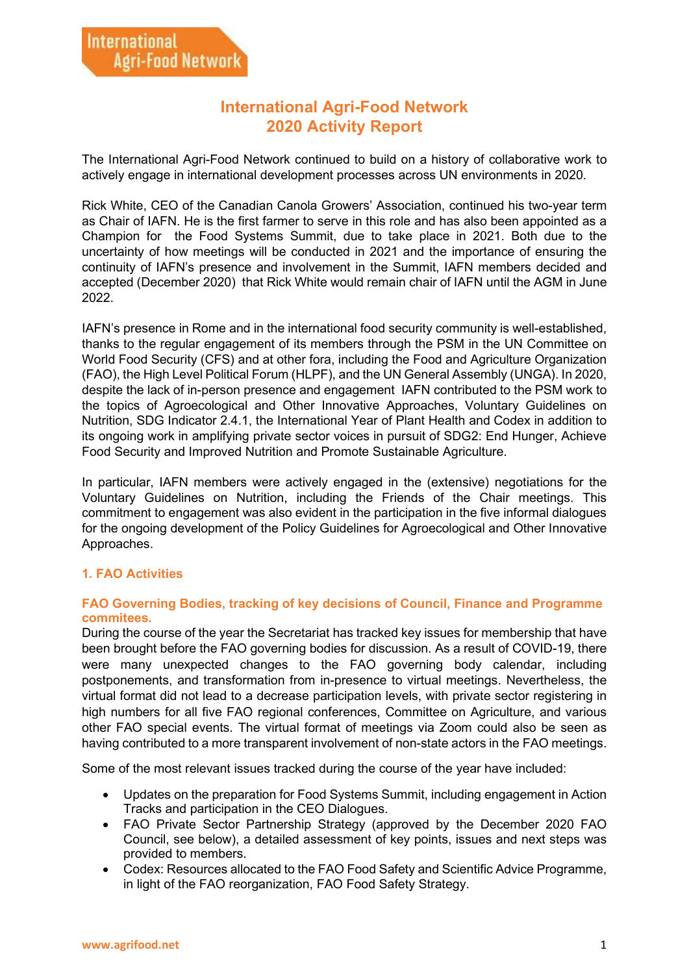## **International Agri-Food Network 2020 Activity Report**

The International Agri-Food Network continued to build on a history of collaborative work to actively engage in international development processes across UN environments in 2020.

Rick White, CEO of the Canadian Canola Growers' Association, continued his two-year term as Chair of IAFN. He is the first farmer to serve in this role and has also been appointed as a Champion for the Food Systems Summit, due to take place in 2021. Both due to the uncertainty of how meetings will be conducted in 2021 and the importance of ensuring the continuity of IAFN's presence and involvement in the Summit, IAFN members decided and accepted (December 2020) that Rick White would remain chair of IAFN until the AGM in June 2022.

IAFN's presence in Rome and in the international food security community is well-established, thanks to the regular engagement of its members through the PSM in the UN Committee on World Food Security (CFS) and at other fora, including the Food and Agriculture Organization (FAO), the High Level Political Forum (HLPF), and the UN General Assembly (UNGA). In 2020, despite the lack of in-person presence and engagement IAFN contributed to the PSM work to the topics of Agroecological and Other Innovative Approaches, Voluntary Guidelines on Nutrition, SDG Indicator 2.4.1, the International Year of Plant Health and Codex in addition to its ongoing work in amplifying private sector voices in pursuit of SDG2: End Hunger, Achieve Food Security and Improved Nutrition and Promote Sustainable Agriculture.

In particular, IAFN members were actively engaged in the (extensive) negotiations for the Voluntary Guidelines on Nutrition, including the Friends of the Chair meetings. This commitment to engagement was also evident in the participation in the five informal dialogues for the ongoing development of the Policy Guidelines for Agroecological and Other Innovative Approaches.

### **1. FAO Activities**

#### **FAO Governing Bodies, tracking of key decisions of Council, Finance and Programme commitees.**

During the course of the year the Secretariat has tracked key issues for membership that have been brought before the FAO governing bodies for discussion. As a result of COVID-19, there were many unexpected changes to the FAO governing body calendar, including postponements, and transformation from in-presence to virtual meetings. Nevertheless, the virtual format did not lead to a decrease participation levels, with private sector registering in high numbers for all five FAO regional conferences, Committee on Agriculture, and various other FAO special events. The virtual format of meetings via Zoom could also be seen as having contributed to a more transparent involvement of non-state actors in the FAO meetings.

Some of the most relevant issues tracked during the course of the year have included:

- Updates on the preparation for Food Systems Summit, including engagement in Action Tracks and participation in the CEO Dialogues.
- FAO Private Sector Partnership Strategy (approved by the December 2020 FAO Council, see below), a detailed assessment of key points, issues and next steps was provided to members.
- Codex: Resources allocated to the FAO Food Safety and Scientific Advice Programme, in light of the FAO reorganization, FAO Food Safety Strategy.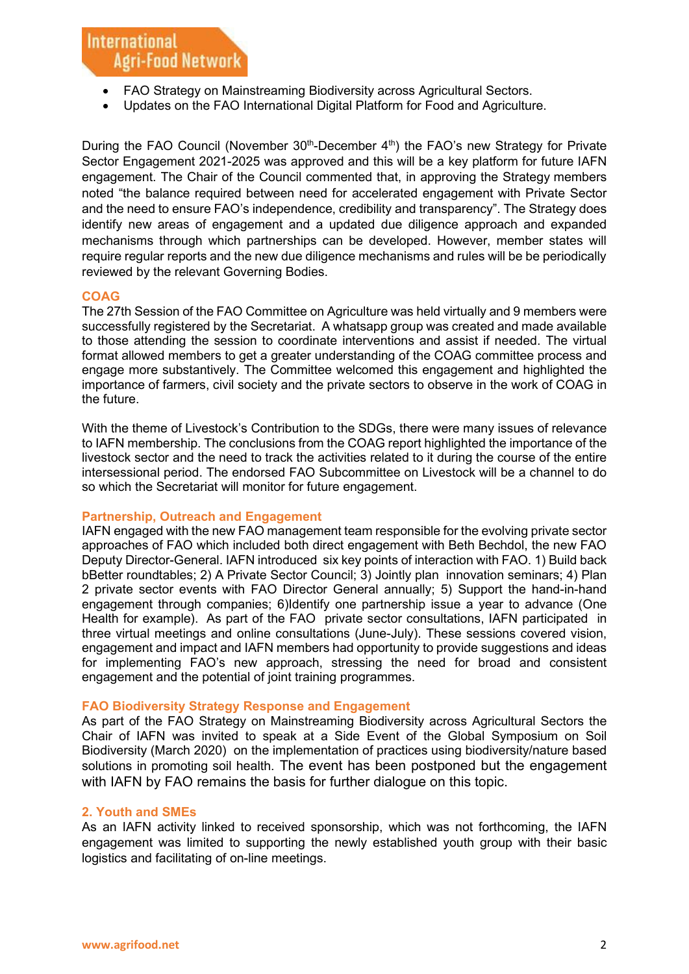# **International Agri-Food Network**

- FAO Strategy on Mainstreaming Biodiversity across Agricultural Sectors.
- Updates on the FAO International Digital Platform for Food and Agriculture.

During the FAO Council (November  $30<sup>th</sup>$ -December  $4<sup>th</sup>$ ) the FAO's new Strategy for Private Sector Engagement 2021-2025 was approved and this will be a key platform for future IAFN engagement. The Chair of the Council commented that, in approving the Strategy members noted "the balance required between need for accelerated engagement with Private Sector and the need to ensure FAO's independence, credibility and transparency". The Strategy does identify new areas of engagement and a updated due diligence approach and expanded mechanisms through which partnerships can be developed. However, member states will require regular reports and the new due diligence mechanisms and rules will be be periodically reviewed by the relevant Governing Bodies.

#### **COAG**

The 27th Session of the FAO Committee on Agriculture was held virtually and 9 members were successfully registered by the Secretariat. A whatsapp group was created and made available to those attending the session to coordinate interventions and assist if needed. The virtual format allowed members to get a greater understanding of the COAG committee process and engage more substantively. The Committee welcomed this engagement and highlighted the importance of farmers, civil society and the private sectors to observe in the work of COAG in the future.

With the theme of Livestock's Contribution to the SDGs, there were many issues of relevance to IAFN membership. The conclusions from the COAG report highlighted the importance of the livestock sector and the need to track the activities related to it during the course of the entire intersessional period. The endorsed FAO Subcommittee on Livestock will be a channel to do so which the Secretariat will monitor for future engagement.

#### **Partnership, Outreach and Engagement**

IAFN engaged with the new FAO management team responsible for the evolving private sector approaches of FAO which included both direct engagement with Beth Bechdol, the new FAO Deputy Director-General. IAFN introduced six key points of interaction with FAO. 1) Build back bBetter roundtables; 2) A Private Sector Council; 3) Jointly plan innovation seminars; 4) Plan 2 private sector events with FAO Director General annually; 5) Support the hand-in-hand engagement through companies; 6)Identify one partnership issue a year to advance (One Health for example). As part of the FAO private sector consultations, IAFN participated in three virtual meetings and online consultations (June-July). These sessions covered vision, engagement and impact and IAFN members had opportunity to provide suggestions and ideas for implementing FAO's new approach, stressing the need for broad and consistent engagement and the potential of joint training programmes.

#### **FAO Biodiversity Strategy Response and Engagement**

As part of the FAO Strategy on Mainstreaming Biodiversity across Agricultural Sectors the Chair of IAFN was invited to speak at a Side Event of the Global Symposium on Soil Biodiversity (March 2020) on the implementation of practices using biodiversity/nature based solutions in promoting soil health. The event has been postponed but the engagement with IAFN by FAO remains the basis for further dialogue on this topic.

#### **2. Youth and SMEs**

As an IAFN activity linked to received sponsorship, which was not forthcoming, the IAFN engagement was limited to supporting the newly established youth group with their basic logistics and facilitating of on-line meetings.